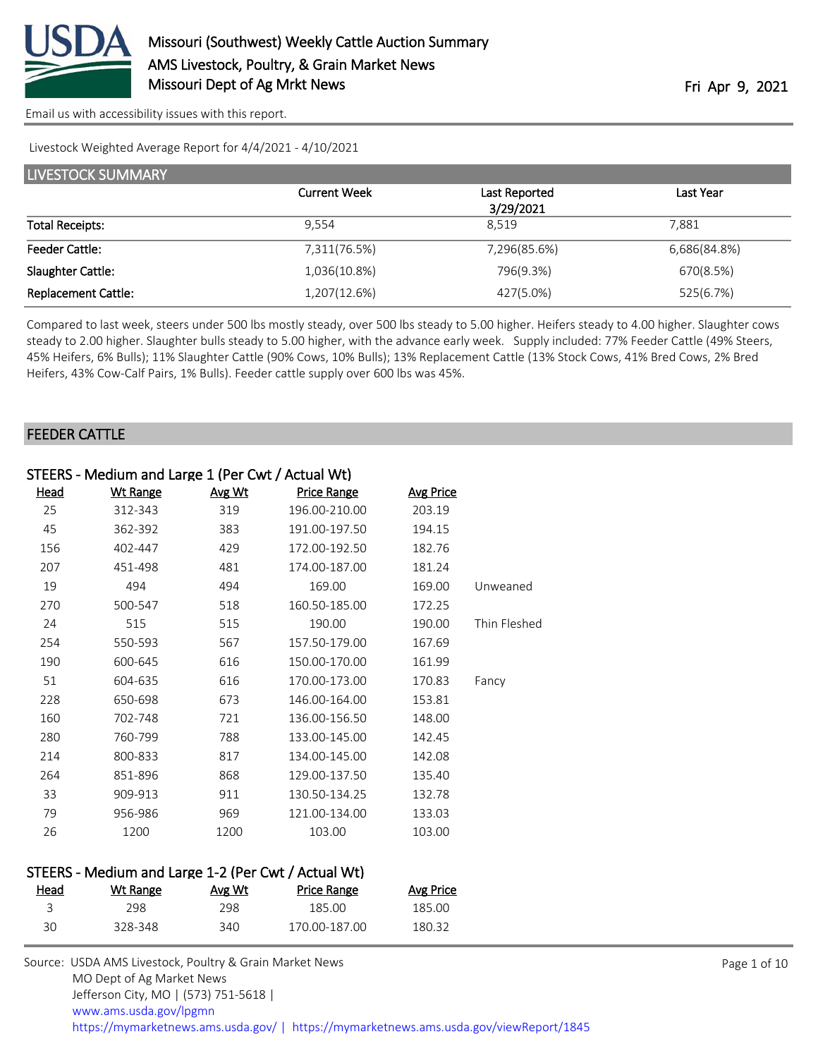

Livestock Weighted Average Report for 4/4/2021 - 4/10/2021

| LIVESTOCK SUMMARY          |                     |               |              |  |
|----------------------------|---------------------|---------------|--------------|--|
|                            | <b>Current Week</b> | Last Reported | Last Year    |  |
|                            |                     | 3/29/2021     |              |  |
| <b>Total Receipts:</b>     | 9.554               | 8.519         | 7.881        |  |
| <b>Feeder Cattle:</b>      | 7,311(76.5%)        | 7,296(85.6%)  | 6,686(84.8%) |  |
| Slaughter Cattle:          | 1,036(10.8%)        | 796(9.3%)     | 670(8.5%)    |  |
| <b>Replacement Cattle:</b> | 1,207(12.6%)        | 427(5.0%)     | 525(6.7%)    |  |

Compared to last week, steers under 500 lbs mostly steady, over 500 lbs steady to 5.00 higher. Heifers steady to 4.00 higher. Slaughter cows steady to 2.00 higher. Slaughter bulls steady to 5.00 higher, with the advance early week. Supply included: 77% Feeder Cattle (49% Steers, 45% Heifers, 6% Bulls); 11% Slaughter Cattle (90% Cows, 10% Bulls); 13% Replacement Cattle (13% Stock Cows, 41% Bred Cows, 2% Bred Heifers, 43% Cow-Calf Pairs, 1% Bulls). Feeder cattle supply over 600 lbs was 45%.

#### FEEDER CATTLE

|             | STEERS - Medium and Large 1 (Per Cwt / Actual Wt) |        |               |                  |              |
|-------------|---------------------------------------------------|--------|---------------|------------------|--------------|
| <u>Head</u> | <b>Wt Range</b>                                   | Avg Wt | Price Range   | <b>Avg Price</b> |              |
| 25          | 312-343                                           | 319    | 196.00-210.00 | 203.19           |              |
| 45          | 362-392                                           | 383    | 191.00-197.50 | 194.15           |              |
| 156         | 402-447                                           | 429    | 172.00-192.50 | 182.76           |              |
| 207         | 451-498                                           | 481    | 174.00-187.00 | 181.24           |              |
| 19          | 494                                               | 494    | 169.00        | 169.00           | Unweaned     |
| 270         | 500-547                                           | 518    | 160.50-185.00 | 172.25           |              |
| 24          | 515                                               | 515    | 190.00        | 190.00           | Thin Fleshed |
| 254         | 550-593                                           | 567    | 157.50-179.00 | 167.69           |              |
| 190         | 600-645                                           | 616    | 150.00-170.00 | 161.99           |              |
| 51          | 604-635                                           | 616    | 170.00-173.00 | 170.83           | Fancy        |
| 228         | 650-698                                           | 673    | 146.00-164.00 | 153.81           |              |
| 160         | 702-748                                           | 721    | 136.00-156.50 | 148.00           |              |
| 280         | 760-799                                           | 788    | 133.00-145.00 | 142.45           |              |
| 214         | 800-833                                           | 817    | 134.00-145.00 | 142.08           |              |
| 264         | 851-896                                           | 868    | 129.00-137.50 | 135.40           |              |
| 33          | 909-913                                           | 911    | 130.50-134.25 | 132.78           |              |
| 79          | 956-986                                           | 969    | 121.00-134.00 | 133.03           |              |
| 26          | 1200                                              | 1200   | 103.00        | 103.00           |              |

### STEERS - Medium and Large 1-2 (Per Cwt / Actual Wt)

| <u>Head</u> | Wt Range | Avg Wt | Price Range   | Avg Price |
|-------------|----------|--------|---------------|-----------|
|             | 298      | 298    | 185.00        | 185.00    |
| 30          | 328-348  | 340    | 170.00-187.00 | 180.32    |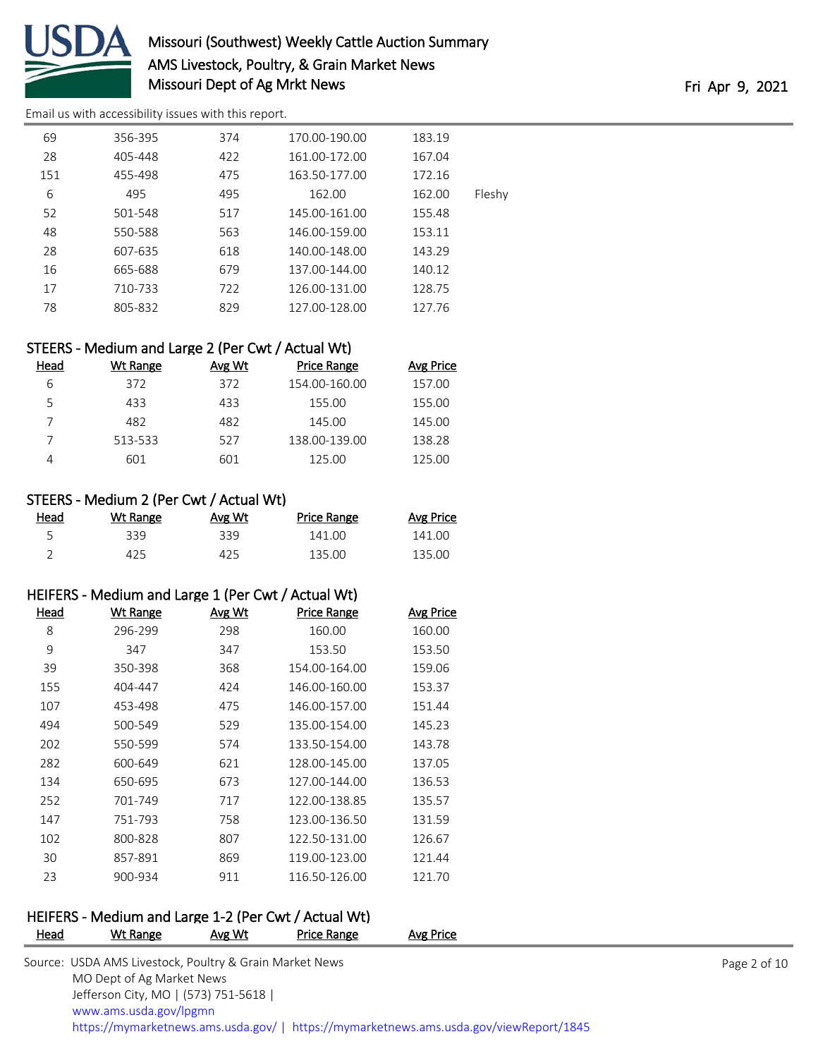

# Missouri (Southwest) Weekly Cattle Auction Summary AMS Livestock, Poultry, & Grain Market News Missouri Dept of Ag Mrkt News Fri Apr 9, 2021

[Email us with accessibility issues with this report.](mailto:mars@ams.usda.gov?subject=508%20issue)

|        | 183.19 | 170.00-190.00 | 374 | 356-395 | 69  |
|--------|--------|---------------|-----|---------|-----|
|        | 167.04 | 161.00-172.00 | 422 | 405-448 | 28  |
|        | 172.16 | 163.50-177.00 | 475 | 455-498 | 151 |
| Fleshy | 162.00 | 162.00        | 495 | 495     | 6   |
|        | 155.48 | 145.00-161.00 | 517 | 501-548 | 52  |
|        | 153.11 | 146.00-159.00 | 563 | 550-588 | 48  |
|        | 143.29 | 140.00-148.00 | 618 | 607-635 | 28  |
|        | 140.12 | 137.00-144.00 | 679 | 665-688 | 16  |
|        | 128.75 | 126.00-131.00 | 722 | 710-733 | 17  |
|        | 127.76 | 127.00-128.00 | 829 | 805-832 | 78  |
|        |        |               |     |         |     |

### STEERS - Medium and Large 2 (Per Cwt / Actual Wt)

| Head | Wt Range | Avg Wt | Price Range   | <b>Avg Price</b> |
|------|----------|--------|---------------|------------------|
| 6    | 372      | 372    | 154.00-160.00 | 157.00           |
| 5    | 433      | 433    | 155.00        | 155.00           |
|      | 482      | 482    | 145.00        | 145.00           |
|      | 513-533  | 527    | 138.00-139.00 | 138.28           |
| 4    | 601      | 601    | 125.00        | 125.00           |

### STEERS - Medium 2 (Per Cwt / Actual Wt)

| <u>Head</u> | Wt Range | Avg Wt | <b>Price Range</b> | <b>Avg Price</b> |
|-------------|----------|--------|--------------------|------------------|
|             | 339      | 339.   | 141.00             | 141.00           |
|             | 425      | 425    | 135.00             | 135.00           |

### HEIFERS - Medium and Large 1 (Per Cwt / Actual Wt)

| Head | <b>Wt Range</b> | Avg Wt | <b>Price Range</b> | <b>Avg Price</b> |
|------|-----------------|--------|--------------------|------------------|
| 8    | 296-299         | 298    | 160.00             | 160.00           |
| 9    | 347             | 347    | 153.50             | 153.50           |
| 39   | 350-398         | 368    | 154.00-164.00      | 159.06           |
| 155  | 404-447         | 424    | 146.00-160.00      | 153.37           |
| 107  | 453-498         | 475    | 146.00-157.00      | 151.44           |
| 494  | 500-549         | 529    | 135.00-154.00      | 145.23           |
| 202  | 550-599         | 574    | 133.50-154.00      | 143.78           |
| 282  | 600-649         | 621    | 128.00-145.00      | 137.05           |
| 134  | 650-695         | 673    | 127.00-144.00      | 136.53           |
| 252  | 701-749         | 717    | 122.00-138.85      | 135.57           |
| 147  | 751-793         | 758    | 123.00-136.50      | 131.59           |
| 102  | 800-828         | 807    | 122.50-131.00      | 126.67           |
| 30   | 857-891         | 869    | 119.00-123.00      | 121.44           |
| 23   | 900-934         | 911    | 116.50-126.00      | 121.70           |

# HEIFERS - Medium and Large 1-2 (Per Cwt / Actual Wt)

| <b>Head</b> | Wt Range                                                | Avg Wt | Price Range | Avg Price                                                                              |              |
|-------------|---------------------------------------------------------|--------|-------------|----------------------------------------------------------------------------------------|--------------|
|             | Source: USDA AMS Livestock, Poultry & Grain Market News |        |             |                                                                                        | Page 2 of 10 |
|             | MO Dept of Ag Market News                               |        |             |                                                                                        |              |
|             | Jefferson City, MO   (573) 751-5618                     |        |             |                                                                                        |              |
|             | www.ams.usda.gov/lpgmn                                  |        |             |                                                                                        |              |
|             |                                                         |        |             | https://mymarketnews.ams.usda.gov/   https://mymarketnews.ams.usda.gov/viewReport/1845 |              |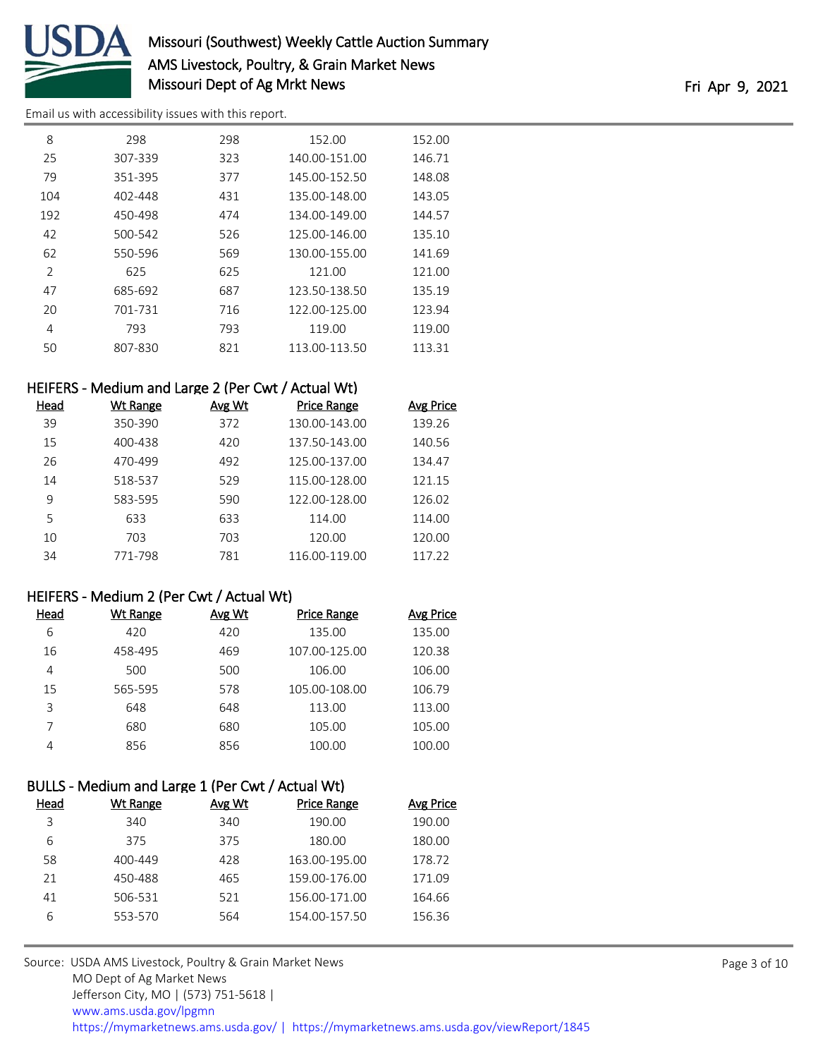

# Missouri (Southwest) Weekly Cattle Auction Summary AMS Livestock, Poultry, & Grain Market News Missouri Dept of Ag Mrkt News Fri Apr 9, 2021

[Email us with accessibility issues with this report.](mailto:mars@ams.usda.gov?subject=508%20issue)

| 8             | 298     | 298 | 152.00        | 152.00 |
|---------------|---------|-----|---------------|--------|
| 25            | 307-339 | 323 | 140.00-151.00 | 146.71 |
| 79            | 351-395 | 377 | 145.00-152.50 | 148.08 |
| 104           | 402-448 | 431 | 135.00-148.00 | 143.05 |
| 192           | 450-498 | 474 | 134.00-149.00 | 144.57 |
| 42            | 500-542 | 526 | 125.00-146.00 | 135.10 |
| 62            | 550-596 | 569 | 130.00-155.00 | 141.69 |
| $\mathcal{P}$ | 625     | 625 | 121.00        | 121.00 |
| 47            | 685-692 | 687 | 123.50-138.50 | 135.19 |
| 20            | 701-731 | 716 | 122.00-125.00 | 123.94 |
| 4             | 793     | 793 | 119.00        | 119.00 |
| 50            | 807-830 | 821 | 113.00-113.50 | 113.31 |

### HEIFERS - Medium and Large 2 (Per Cwt / Actual Wt)

| Head | Wt Range | Avg Wt | <b>Price Range</b> | Avg Price |
|------|----------|--------|--------------------|-----------|
| 39   | 350-390  | 372    | 130.00-143.00      | 139.26    |
| 15   | 400-438  | 420    | 137.50-143.00      | 140.56    |
| 26   | 470-499  | 492    | 125.00-137.00      | 134.47    |
| 14   | 518-537  | 529    | 115.00-128.00      | 121.15    |
| 9    | 583-595  | 590    | 122.00-128.00      | 126.02    |
| 5    | 633      | 633    | 114.00             | 114.00    |
| 10   | 703      | 703    | 120.00             | 120.00    |
| 34   | 771-798  | 781    | 116.00-119.00      | 117 22    |

### HEIFERS - Medium 2 (Per Cwt / Actual Wt)

| Head | Wt Range | Avg Wt | Price Range   | Avg Price |
|------|----------|--------|---------------|-----------|
| 6    | 420      | 420    | 135.00        | 135.00    |
| 16   | 458-495  | 469    | 107.00-125.00 | 120.38    |
| 4    | 500      | 500    | 106.00        | 106.00    |
| 15   | 565-595  | 578    | 105.00-108.00 | 106.79    |
| 3    | 648      | 648    | 113.00        | 113.00    |
| 7    | 680      | 680    | 105.00        | 105.00    |
| Δ    | 856      | 856    | 100.00        | 100.00    |

# BULLS - Medium and Large 1 (Per Cwt / Actual Wt)

| Head | Wt Range | Avg Wt | <b>Price Range</b> | <b>Avg Price</b> |
|------|----------|--------|--------------------|------------------|
| 3    | 340      | 340    | 190.00             | 190.00           |
| 6    | 375      | 375    | 180.00             | 180.00           |
| 58   | 400-449  | 428    | 163.00-195.00      | 178.72           |
| 21   | 450-488  | 465    | 159.00-176.00      | 171.09           |
| 41   | 506-531  | 521    | 156.00-171.00      | 164.66           |
| 6    | 553-570  | 564    | 154.00-157.50      | 156.36           |
|      |          |        |                    |                  |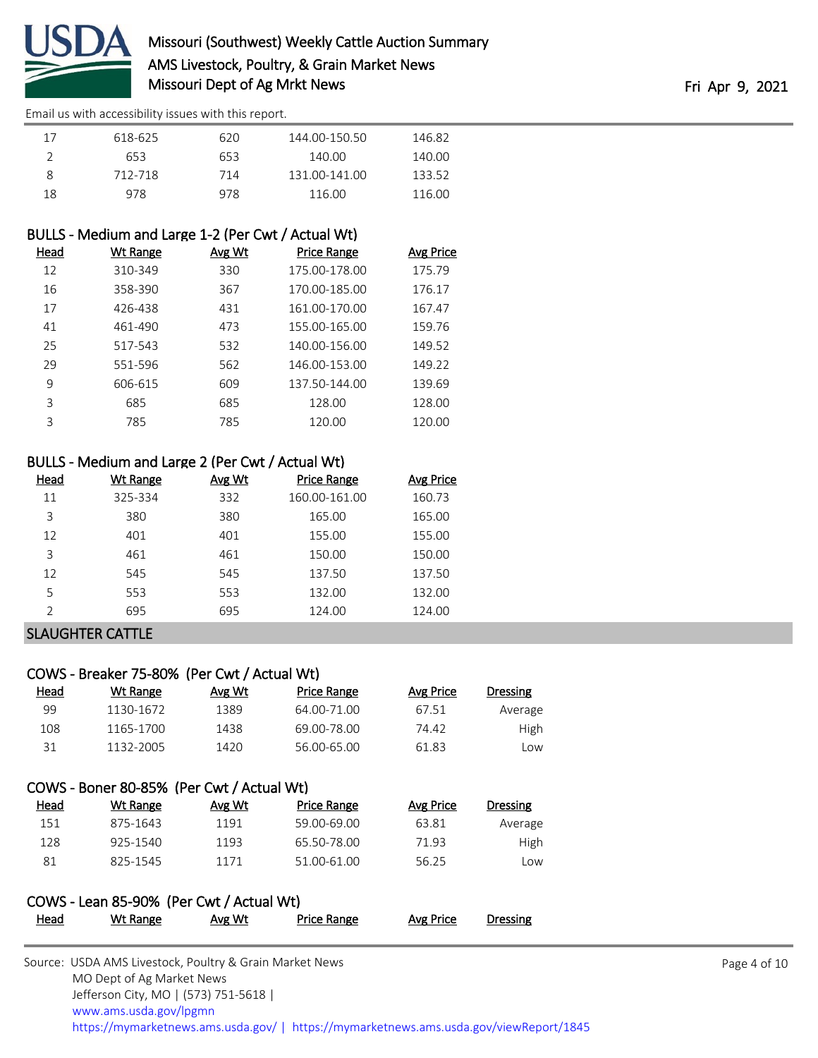

| 17 | 618-625 | 620 | 144.00-150.50 | 146.82 |
|----|---------|-----|---------------|--------|
| ∸  | 653     | 653 | 140.00        | 140.00 |
| 8  | 712-718 | 714 | 131.00-141.00 | 133.52 |
| 18 | 978     | 978 | 116.00        | 116.00 |

### BULLS - Medium and Large 1-2 (Per Cwt / Actual Wt)

| Head | Wt Range | Avg Wt | <b>Price Range</b> | <b>Avg Price</b> |
|------|----------|--------|--------------------|------------------|
| 12   | 310-349  | 330    | 175.00-178.00      | 175.79           |
| 16   | 358-390  | 367    | 170.00-185.00      | 176.17           |
| 17   | 426-438  | 431    | 161.00-170.00      | 167.47           |
| 41   | 461-490  | 473    | 155.00-165.00      | 159.76           |
| 25   | 517-543  | 532    | 140.00-156.00      | 149.52           |
| 29   | 551-596  | 562    | 146.00-153.00      | 149.22           |
| 9    | 606-615  | 609    | 137.50-144.00      | 139.69           |
| 3    | 685      | 685    | 128.00             | 128.00           |
| ζ    | 785      | 785    | 120.00             | 120.00           |

### BULLS - Medium and Large 2 (Per Cwt / Actual Wt)

| Head | Wt Range | Avg Wt | <b>Price Range</b> | Avg Price |
|------|----------|--------|--------------------|-----------|
| 11   | 325-334  | 332    | 160.00-161.00      | 160.73    |
| 3    | 380      | 380    | 165.00             | 165.00    |
| 12   | 401      | 401    | 155.00             | 155.00    |
| 3    | 461      | 461    | 150.00             | 150.00    |
| 12   | 545      | 545    | 137.50             | 137.50    |
| 5    | 553      | 553    | 132.00             | 132.00    |
| C    | 695      | 695    | 124.00             | 124.00    |

### SLAUGHTER CATTLE

### COWS - Breaker 75-80% (Per Cwt / Actual Wt)

| Head | Wt Range  | Avg Wt | Price Range | Avg Price | <b>Dressing</b> |
|------|-----------|--------|-------------|-----------|-----------------|
| 99   | 1130-1672 | 1389   | 64.00-71.00 | 67.51     | Average         |
| 108  | 1165-1700 | 1438   | 69.00-78.00 | 74.42     | High            |
| 31   | 1132-2005 | 1420   | 56.00-65.00 | 61.83     | _OW             |

### COWS - Boner 80-85% (Per Cwt / Actual Wt)

| Head | Wt Range | Avg Wt | Price Range | Avg Price | <b>Dressing</b> |
|------|----------|--------|-------------|-----------|-----------------|
| 151  | 875-1643 | 1191   | 59.00-69.00 | 63.81     | Average         |
| 128  | 925-1540 | 1193   | 65.50-78.00 | 71.93     | <b>High</b>     |
| 81   | 825-1545 | 1171   | 51.00-61.00 | 56.25     | Low             |

# COWS - Lean 85-90% (Per Cwt / Actual Wt) Head Wt Range Avg Wt Price Range Avg Price Dressing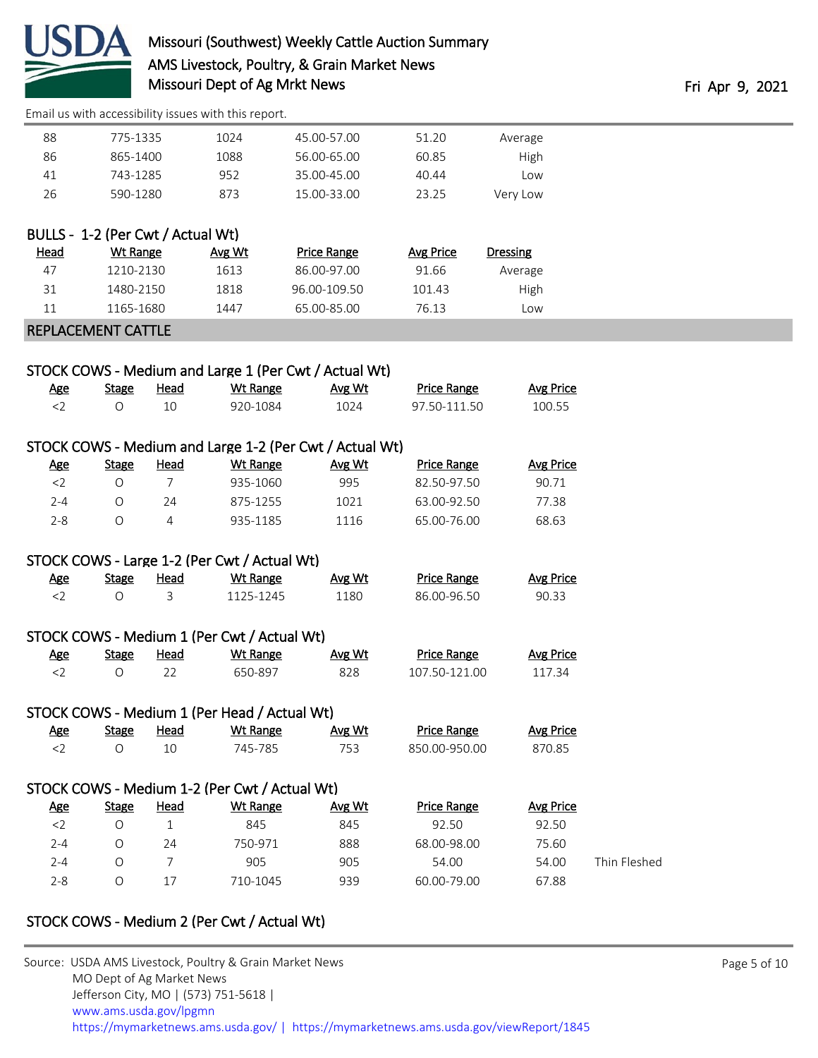

| Average  | 51.20 | 45.00-57.00 | 1024 | 775-1335 | 88 |
|----------|-------|-------------|------|----------|----|
| High     | 60.85 | 56.00-65.00 | 1088 | 865-1400 | 86 |
| Low      | 40.44 | 35.00-45.00 | 952  | 743-1285 | 41 |
| Very Low | 23.25 | 15.00-33.00 | 873  | 590-1280 | 26 |

| BULLS - 1-2 (Per Cwt / Actual Wt) |           |        |              |           |          |  |  |  |  |
|-----------------------------------|-----------|--------|--------------|-----------|----------|--|--|--|--|
| Head                              | Wt Range  | Avg Wt | Price Range  | Avg Price | Dressing |  |  |  |  |
| 47                                | 1210-2130 | 1613   | 86.00-97.00  | 91.66     | Average  |  |  |  |  |
| 31                                | 1480-2150 | 1818   | 96.00-109.50 | 101.43    | High     |  |  |  |  |
| 11                                | 1165-1680 | 1447   | 65.00-85.00  | 76.13     | Low      |  |  |  |  |

### REPLACEMENT CATTLE

|                    |         |         | STOCK COWS - Medium and Large 1 (Per Cwt / Actual Wt) |                                      |         |
|--------------------|---------|---------|-------------------------------------------------------|--------------------------------------|---------|
| $A_{\alpha\alpha}$ | $C+nnn$ | الممملا | $MH$ Dongo                                            | $\Lambda$ <sub>10</sub> $\Lambda$ /+ | Drico L |

| <u>Age</u> | <b>Stage</b> | Head | Wt Range | Avg Wt | <b>Price Range</b> | <b>Avg Price</b> |
|------------|--------------|------|----------|--------|--------------------|------------------|
|            |              |      | 920-1084 | 1024   | 97 50-111 50       | 100.55           |

### STOCK COWS - Medium and Large 1-2 (Per Cwt / Actual Wt)

| <u>Age</u> | <b>Stage</b> | Head | Wt Range | Avg Wt | <b>Price Range</b> | Avg Price |
|------------|--------------|------|----------|--------|--------------------|-----------|
|            |              |      | 935-1060 | 995    | 82 50-97 50        | 90.71     |
| $2 - 4$    |              | 24   | 875-1255 | 1021   | 63.00-92.50        | 77.38     |
| -2-8       |              |      | 935-1185 | 1116   | 65.00-76.00        | 68.63     |

### STOCK COWS - Large 1-2 (Per Cwt / Actual Wt)

| <u>Age</u> | Stage | <u>Head</u> | Wt Range  | Avg Wt | <b>Price Range</b> | <b>Avg Price</b> |
|------------|-------|-------------|-----------|--------|--------------------|------------------|
|            |       |             | 1125-1245 | 1180   | 86.00-96.50        | 90.33            |

# STOCK COWS - Medium 1 (Per Cwt / Actual Wt)

| Age | Stage | <u>Head</u> | Wt Range | Avg Wt | <b>Price Range</b> | Avg Price |
|-----|-------|-------------|----------|--------|--------------------|-----------|
|     |       |             | 650-897  |        | 107.50-121.00      | 117.34    |

# STOCK COWS - Medium 1 (Per Head / Actual Wt)

|              | <b>Avg Price</b> | <b>Price Range</b> | Avg Wt | <b>Wt Range</b>                               | <u>Head</u> | <b>Stage</b> | <u>Age</u> |
|--------------|------------------|--------------------|--------|-----------------------------------------------|-------------|--------------|------------|
|              | 870.85           | 850.00-950.00      | 753    | 745-785                                       | 10          | $\circ$      | $<$ 2      |
|              |                  |                    |        | STOCK COWS - Medium 1-2 (Per Cwt / Actual Wt) |             |              |            |
|              |                  |                    |        |                                               |             |              |            |
|              | Avg Price        | <b>Price Range</b> | Avg Wt | Wt Range                                      | Head        | <b>Stage</b> | <u>Age</u> |
|              | 92.50            | 92.50              | 845    | 845                                           |             | O            | $<$ 2      |
|              | 75.60            | 68.00-98.00        | 888    | 750-971                                       | 24          | $\circ$      | $2 - 4$    |
| Thin Fleshed | 54.00            | 54.00              | 905    | 905                                           |             | $\circ$      | $2 - 4$    |
|              | 67.88            | 60.00-79.00        | 939    | 710-1045                                      | 17          | O            | $2 - 8$    |
|              |                  |                    |        |                                               |             |              |            |

### STOCK COWS - Medium 2 (Per Cwt / Actual Wt)

| Source: USDA AMS Livestock, Poultry & Grain Market News                                |
|----------------------------------------------------------------------------------------|
| MO Dept of Ag Market News                                                              |
| Jefferson City, MO   (573) 751-5618                                                    |
| www.ams.usda.gov/lpgmn                                                                 |
| https://mymarketnews.ams.usda.gov/   https://mymarketnews.ams.usda.gov/viewReport/1845 |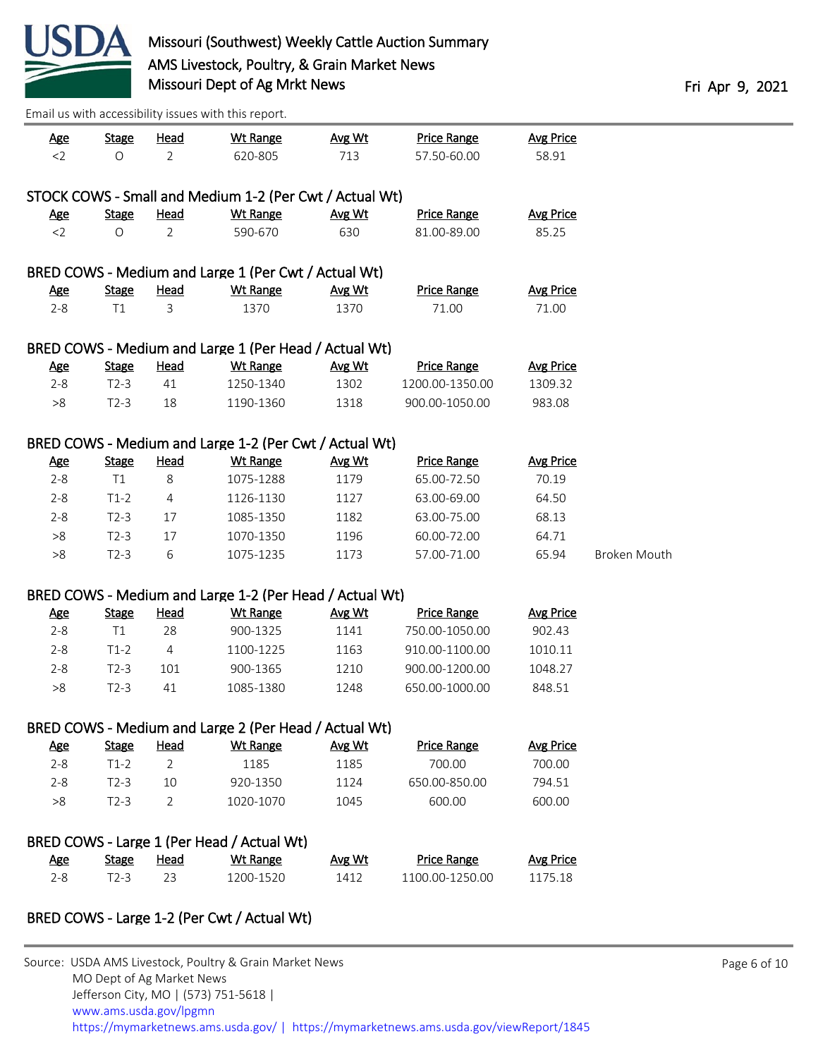

| <u>Age</u> | <b>Stage</b> | <b>Head</b>    | <b>Wt Range</b>                                         | Avg Wt        | <b>Price Range</b> | <b>Avg Price</b> |              |
|------------|--------------|----------------|---------------------------------------------------------|---------------|--------------------|------------------|--------------|
| $<$ 2      | $\circ$      | $\overline{2}$ | 620-805                                                 | 713           | 57.50-60.00        | 58.91            |              |
|            |              |                | STOCK COWS - Small and Medium 1-2 (Per Cwt / Actual Wt) |               |                    |                  |              |
| <u>Age</u> | <b>Stage</b> | <b>Head</b>    | <b>Wt Range</b>                                         | Avg Wt        | <b>Price Range</b> | <b>Avg Price</b> |              |
| $<$ 2      | $\circ$      | 2              | 590-670                                                 | 630           | 81.00-89.00        | 85.25            |              |
|            |              |                |                                                         |               |                    |                  |              |
|            |              |                | BRED COWS - Medium and Large 1 (Per Cwt / Actual Wt)    |               |                    |                  |              |
| <u>Age</u> | <b>Stage</b> | <b>Head</b>    | <b>Wt Range</b>                                         | Avg Wt        | <b>Price Range</b> | <b>Avg Price</b> |              |
| $2 - 8$    | T1           | 3              | 1370                                                    | 1370          | 71.00              | 71.00            |              |
|            |              |                | BRED COWS - Medium and Large 1 (Per Head / Actual Wt)   |               |                    |                  |              |
| <u>Age</u> | <b>Stage</b> | <b>Head</b>    | <b>Wt Range</b>                                         | Avg Wt        | <b>Price Range</b> | <b>Avg Price</b> |              |
| $2 - 8$    | $T2-3$       | 41             | 1250-1340                                               | 1302          | 1200.00-1350.00    | 1309.32          |              |
| >8         | $T2-3$       | 18             | 1190-1360                                               | 1318          | 900.00-1050.00     | 983.08           |              |
|            |              |                |                                                         |               |                    |                  |              |
|            |              |                | BRED COWS - Medium and Large 1-2 (Per Cwt / Actual Wt)  |               |                    |                  |              |
| <b>Age</b> | <b>Stage</b> | <b>Head</b>    | <b>Wt Range</b>                                         | Avg Wt        | <b>Price Range</b> | <b>Avg Price</b> |              |
| $2 - 8$    | T1           | 8              | 1075-1288                                               | 1179          | 65.00-72.50        | 70.19            |              |
| $2 - 8$    | $T1-2$       | 4              | 1126-1130                                               | 1127          | 63.00-69.00        | 64.50            |              |
| $2 - 8$    | $T2-3$       | 17             | 1085-1350                                               | 1182          | 63.00-75.00        | 68.13            |              |
| >8         | $T2-3$       | 17             | 1070-1350                                               | 1196          | 60.00-72.00        | 64.71            |              |
| >8         | $T2-3$       | 6              | 1075-1235                                               | 1173          | 57.00-71.00        | 65.94            | Broken Mouth |
|            |              |                |                                                         |               |                    |                  |              |
|            |              |                | BRED COWS - Medium and Large 1-2 (Per Head / Actual Wt) |               |                    |                  |              |
| <u>Age</u> | <b>Stage</b> | <b>Head</b>    | Wt Range                                                | Avg Wt        | <b>Price Range</b> | <b>Avg Price</b> |              |
| $2 - 8$    | T1           | 28             | 900-1325                                                | 1141          | 750.00-1050.00     | 902.43           |              |
| $2 - 8$    | $T1-2$       | 4              | 1100-1225                                               | 1163          | 910.00-1100.00     | 1010.11          |              |
| $2 - 8$    | $T2-3$       | 101            | 900-1365                                                | 1210          | 900.00-1200.00     | 1048.27          |              |
| $>\!8$     | $T2-3$       | 41             | 1085-1380                                               | 1248          | 650.00-1000.00     | 848.51           |              |
|            |              |                | BRED COWS - Medium and Large 2 (Per Head / Actual Wt)   |               |                    |                  |              |
| <u>Age</u> | <b>Stage</b> | <u>Head</u>    | Wt Range                                                | <b>Avg Wt</b> | <b>Price Range</b> | <b>Avg Price</b> |              |
| $2 - 8$    | $T1-2$       | $\overline{2}$ | 1185                                                    | 1185          | 700.00             | 700.00           |              |
| $2 - 8$    | $T2-3$       | 10             | 920-1350                                                | 1124          | 650.00-850.00      | 794.51           |              |
| $>\!8$     | $T2-3$       | 2              | 1020-1070                                               | 1045          | 600.00             | 600.00           |              |
|            |              |                |                                                         |               |                    |                  |              |
|            |              |                | BRED COWS - Large 1 (Per Head / Actual Wt)              |               |                    |                  |              |
| <u>Age</u> | <b>Stage</b> | <u>Head</u>    | <b>Wt Range</b>                                         | <b>Avg Wt</b> | <b>Price Range</b> | <b>Avg Price</b> |              |
| $2 - 8$    | $T2-3$       | 23             | 1200-1520                                               | 1412          | 1100.00-1250.00    | 1175.18          |              |
|            |              |                |                                                         |               |                    |                  |              |

### BRED COWS - Large 1-2 (Per Cwt / Actual Wt)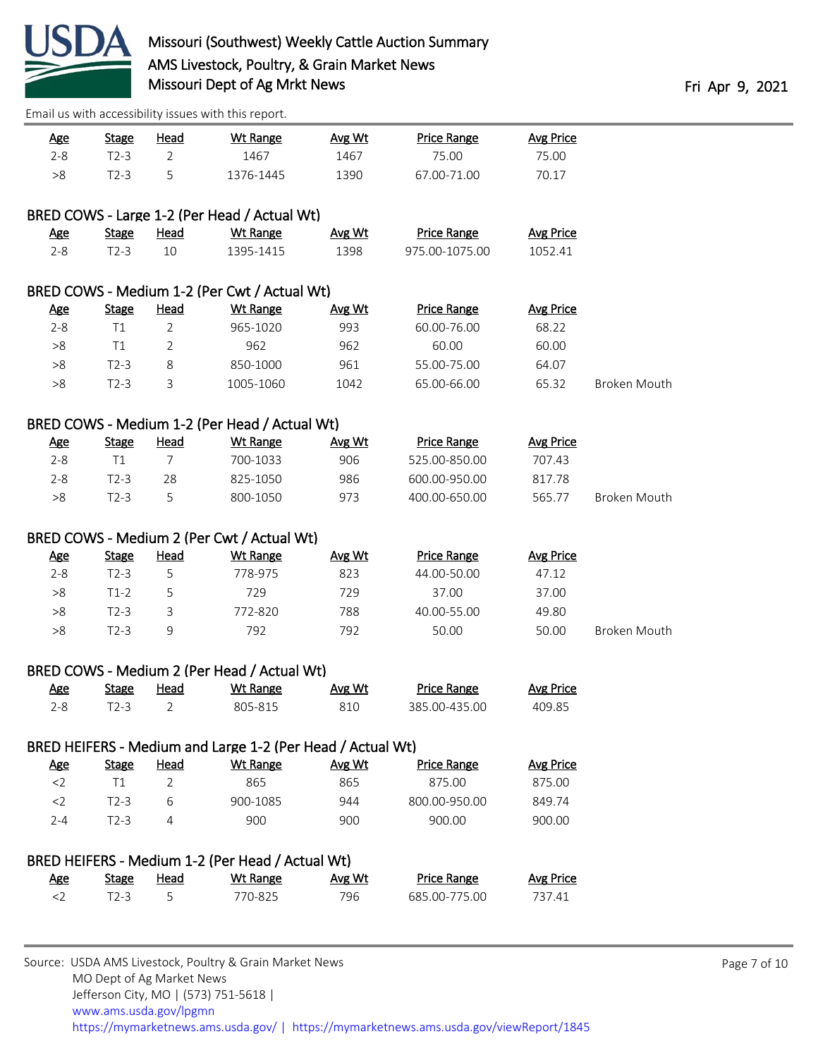

| $2 - 8$<br>$T2-3$<br>1467<br>75.00<br>$\overline{2}$<br>5<br>>8<br>$T2-3$<br>1376-1445<br>1390<br>67.00-71.00<br>70.17<br>BRED COWS - Large 1-2 (Per Head / Actual Wt)<br><b>Price Range</b><br><b>Stage</b><br><b>Head</b><br><b>Wt Range</b><br><b>Avg Price</b><br><b>Age</b><br>Avg Wt<br>$2 - 8$<br>$T2-3$<br>10<br>1395-1415<br>1398<br>975.00-1075.00<br>1052.41<br>BRED COWS - Medium 1-2 (Per Cwt / Actual Wt)<br><b>Avg Price</b><br>Wt Range<br><b>Price Range</b><br><u>Age</u><br><b>Stage</b><br><u>Head</u><br>Avg Wt<br>$\overline{2}$<br>$2 - 8$<br>T1<br>993<br>60.00-76.00<br>68.22<br>965-1020<br>$>\!8$<br>T1<br>2<br>962<br>962<br>60.00<br>60.00<br>$T2-3$<br>961<br>55.00-75.00<br>64.07<br>>8<br>8<br>850-1000<br>3<br>$>\!8$<br>$T2-3$<br>1005-1060<br>1042<br>65.00-66.00<br>65.32<br>Broken Mouth<br>BRED COWS - Medium 1-2 (Per Head / Actual Wt)<br><b>Age</b><br>Head<br><b>Wt Range</b><br><b>Price Range</b><br><b>Avg Price</b><br><b>Stage</b><br>Avg Wt<br>$2 - 8$<br>T1<br>7<br>700-1033<br>906<br>525.00-850.00<br>707.43<br>986<br>$2 - 8$<br>$T2-3$<br>825-1050<br>600.00-950.00<br>817.78<br>28<br>5<br>$>\!8$<br>$T2-3$<br>800-1050<br>973<br>400.00-650.00<br>Broken Mouth<br>565.77<br>BRED COWS - Medium 2 (Per Cwt / Actual Wt)<br><b>Head</b><br><b>Price Range</b><br><b>Avg Price</b><br><u>Age</u><br><b>Stage</b><br><b>Wt Range</b><br>Avg Wt<br>$2 - 8$<br>$T2-3$<br>823<br>47.12<br>5<br>778-975<br>44.00-50.00<br>>8<br>729<br>729<br>37.00<br>$T1-2$<br>5<br>37.00<br>$>\!8$<br>$T2-3$<br>772-820<br>788<br>40.00-55.00<br>3<br>49.80<br>792<br>792<br>>8<br>$T2-3$<br>9<br>50.00<br>50.00<br>Broken Mouth<br>BRED COWS - Medium 2 (Per Head / Actual Wt)<br>Wt Range<br><b>Price Range</b><br><b>Avg Price</b><br><u>Age</u><br><b>Stage</b><br><b>Head</b><br>Avg Wt<br>$2 - 8$<br>$\overline{2}$<br>810<br>385.00-435.00<br>$T2-3$<br>805-815<br>409.85<br>BRED HEIFERS - Medium and Large 1-2 (Per Head / Actual Wt)<br><b>Head</b><br><b>Wt Range</b><br>Avg Wt<br><b>Price Range</b><br><b>Avg Price</b><br><b>Age</b><br><b>Stage</b><br>$<$ 2<br>T1<br>865<br>865<br>2<br>875.00<br>875.00<br>944<br>$<$ 2<br>6<br>900-1085<br>800.00-950.00<br>849.74<br>$T2-3$<br>$2 - 4$<br>900<br>900.00<br>$T2-3$<br>4<br>900<br>900.00<br>BRED HEIFERS - Medium 1-2 (Per Head / Actual Wt)<br><b>Price Range</b><br><b>Avg Price</b><br><b>Stage</b><br><b>Head</b><br><b>Wt Range</b><br>Avg Wt<br><u>Age</u><br>5<br>$<$ 2<br>$T2-3$<br>770-825<br>796<br>685.00-775.00<br>737.41 | <u>Age</u> | <b>Stage</b> | <b>Head</b> | <b>Wt Range</b> | Avg Wt | <b>Price Range</b> | <b>Avg Price</b> |  |  |  |  |  |  |
|-------------------------------------------------------------------------------------------------------------------------------------------------------------------------------------------------------------------------------------------------------------------------------------------------------------------------------------------------------------------------------------------------------------------------------------------------------------------------------------------------------------------------------------------------------------------------------------------------------------------------------------------------------------------------------------------------------------------------------------------------------------------------------------------------------------------------------------------------------------------------------------------------------------------------------------------------------------------------------------------------------------------------------------------------------------------------------------------------------------------------------------------------------------------------------------------------------------------------------------------------------------------------------------------------------------------------------------------------------------------------------------------------------------------------------------------------------------------------------------------------------------------------------------------------------------------------------------------------------------------------------------------------------------------------------------------------------------------------------------------------------------------------------------------------------------------------------------------------------------------------------------------------------------------------------------------------------------------------------------------------------------------------------------------------------------------------------------------------------------------------------------------------------------------------------------------------------------------------------------------------------------------------------------------------------------------------------------------------------------------------------------------------------------------------------------------------------------------------------------------------------------------------------------------|------------|--------------|-------------|-----------------|--------|--------------------|------------------|--|--|--|--|--|--|
|                                                                                                                                                                                                                                                                                                                                                                                                                                                                                                                                                                                                                                                                                                                                                                                                                                                                                                                                                                                                                                                                                                                                                                                                                                                                                                                                                                                                                                                                                                                                                                                                                                                                                                                                                                                                                                                                                                                                                                                                                                                                                                                                                                                                                                                                                                                                                                                                                                                                                                                                           |            |              |             | 1467            |        |                    | 75.00            |  |  |  |  |  |  |
|                                                                                                                                                                                                                                                                                                                                                                                                                                                                                                                                                                                                                                                                                                                                                                                                                                                                                                                                                                                                                                                                                                                                                                                                                                                                                                                                                                                                                                                                                                                                                                                                                                                                                                                                                                                                                                                                                                                                                                                                                                                                                                                                                                                                                                                                                                                                                                                                                                                                                                                                           |            |              |             |                 |        |                    |                  |  |  |  |  |  |  |
|                                                                                                                                                                                                                                                                                                                                                                                                                                                                                                                                                                                                                                                                                                                                                                                                                                                                                                                                                                                                                                                                                                                                                                                                                                                                                                                                                                                                                                                                                                                                                                                                                                                                                                                                                                                                                                                                                                                                                                                                                                                                                                                                                                                                                                                                                                                                                                                                                                                                                                                                           |            |              |             |                 |        |                    |                  |  |  |  |  |  |  |
|                                                                                                                                                                                                                                                                                                                                                                                                                                                                                                                                                                                                                                                                                                                                                                                                                                                                                                                                                                                                                                                                                                                                                                                                                                                                                                                                                                                                                                                                                                                                                                                                                                                                                                                                                                                                                                                                                                                                                                                                                                                                                                                                                                                                                                                                                                                                                                                                                                                                                                                                           |            |              |             |                 |        |                    |                  |  |  |  |  |  |  |
|                                                                                                                                                                                                                                                                                                                                                                                                                                                                                                                                                                                                                                                                                                                                                                                                                                                                                                                                                                                                                                                                                                                                                                                                                                                                                                                                                                                                                                                                                                                                                                                                                                                                                                                                                                                                                                                                                                                                                                                                                                                                                                                                                                                                                                                                                                                                                                                                                                                                                                                                           |            |              |             |                 |        |                    |                  |  |  |  |  |  |  |
|                                                                                                                                                                                                                                                                                                                                                                                                                                                                                                                                                                                                                                                                                                                                                                                                                                                                                                                                                                                                                                                                                                                                                                                                                                                                                                                                                                                                                                                                                                                                                                                                                                                                                                                                                                                                                                                                                                                                                                                                                                                                                                                                                                                                                                                                                                                                                                                                                                                                                                                                           |            |              |             |                 |        |                    |                  |  |  |  |  |  |  |
|                                                                                                                                                                                                                                                                                                                                                                                                                                                                                                                                                                                                                                                                                                                                                                                                                                                                                                                                                                                                                                                                                                                                                                                                                                                                                                                                                                                                                                                                                                                                                                                                                                                                                                                                                                                                                                                                                                                                                                                                                                                                                                                                                                                                                                                                                                                                                                                                                                                                                                                                           |            |              |             |                 |        |                    |                  |  |  |  |  |  |  |
|                                                                                                                                                                                                                                                                                                                                                                                                                                                                                                                                                                                                                                                                                                                                                                                                                                                                                                                                                                                                                                                                                                                                                                                                                                                                                                                                                                                                                                                                                                                                                                                                                                                                                                                                                                                                                                                                                                                                                                                                                                                                                                                                                                                                                                                                                                                                                                                                                                                                                                                                           |            |              |             |                 |        |                    |                  |  |  |  |  |  |  |
|                                                                                                                                                                                                                                                                                                                                                                                                                                                                                                                                                                                                                                                                                                                                                                                                                                                                                                                                                                                                                                                                                                                                                                                                                                                                                                                                                                                                                                                                                                                                                                                                                                                                                                                                                                                                                                                                                                                                                                                                                                                                                                                                                                                                                                                                                                                                                                                                                                                                                                                                           |            |              |             |                 |        |                    |                  |  |  |  |  |  |  |
|                                                                                                                                                                                                                                                                                                                                                                                                                                                                                                                                                                                                                                                                                                                                                                                                                                                                                                                                                                                                                                                                                                                                                                                                                                                                                                                                                                                                                                                                                                                                                                                                                                                                                                                                                                                                                                                                                                                                                                                                                                                                                                                                                                                                                                                                                                                                                                                                                                                                                                                                           |            |              |             |                 |        |                    |                  |  |  |  |  |  |  |
|                                                                                                                                                                                                                                                                                                                                                                                                                                                                                                                                                                                                                                                                                                                                                                                                                                                                                                                                                                                                                                                                                                                                                                                                                                                                                                                                                                                                                                                                                                                                                                                                                                                                                                                                                                                                                                                                                                                                                                                                                                                                                                                                                                                                                                                                                                                                                                                                                                                                                                                                           |            |              |             |                 |        |                    |                  |  |  |  |  |  |  |
|                                                                                                                                                                                                                                                                                                                                                                                                                                                                                                                                                                                                                                                                                                                                                                                                                                                                                                                                                                                                                                                                                                                                                                                                                                                                                                                                                                                                                                                                                                                                                                                                                                                                                                                                                                                                                                                                                                                                                                                                                                                                                                                                                                                                                                                                                                                                                                                                                                                                                                                                           |            |              |             |                 |        |                    |                  |  |  |  |  |  |  |
|                                                                                                                                                                                                                                                                                                                                                                                                                                                                                                                                                                                                                                                                                                                                                                                                                                                                                                                                                                                                                                                                                                                                                                                                                                                                                                                                                                                                                                                                                                                                                                                                                                                                                                                                                                                                                                                                                                                                                                                                                                                                                                                                                                                                                                                                                                                                                                                                                                                                                                                                           |            |              |             |                 |        |                    |                  |  |  |  |  |  |  |
|                                                                                                                                                                                                                                                                                                                                                                                                                                                                                                                                                                                                                                                                                                                                                                                                                                                                                                                                                                                                                                                                                                                                                                                                                                                                                                                                                                                                                                                                                                                                                                                                                                                                                                                                                                                                                                                                                                                                                                                                                                                                                                                                                                                                                                                                                                                                                                                                                                                                                                                                           |            |              |             |                 |        |                    |                  |  |  |  |  |  |  |
|                                                                                                                                                                                                                                                                                                                                                                                                                                                                                                                                                                                                                                                                                                                                                                                                                                                                                                                                                                                                                                                                                                                                                                                                                                                                                                                                                                                                                                                                                                                                                                                                                                                                                                                                                                                                                                                                                                                                                                                                                                                                                                                                                                                                                                                                                                                                                                                                                                                                                                                                           |            |              |             |                 |        |                    |                  |  |  |  |  |  |  |
|                                                                                                                                                                                                                                                                                                                                                                                                                                                                                                                                                                                                                                                                                                                                                                                                                                                                                                                                                                                                                                                                                                                                                                                                                                                                                                                                                                                                                                                                                                                                                                                                                                                                                                                                                                                                                                                                                                                                                                                                                                                                                                                                                                                                                                                                                                                                                                                                                                                                                                                                           |            |              |             |                 |        |                    |                  |  |  |  |  |  |  |
|                                                                                                                                                                                                                                                                                                                                                                                                                                                                                                                                                                                                                                                                                                                                                                                                                                                                                                                                                                                                                                                                                                                                                                                                                                                                                                                                                                                                                                                                                                                                                                                                                                                                                                                                                                                                                                                                                                                                                                                                                                                                                                                                                                                                                                                                                                                                                                                                                                                                                                                                           |            |              |             |                 |        |                    |                  |  |  |  |  |  |  |
|                                                                                                                                                                                                                                                                                                                                                                                                                                                                                                                                                                                                                                                                                                                                                                                                                                                                                                                                                                                                                                                                                                                                                                                                                                                                                                                                                                                                                                                                                                                                                                                                                                                                                                                                                                                                                                                                                                                                                                                                                                                                                                                                                                                                                                                                                                                                                                                                                                                                                                                                           |            |              |             |                 |        |                    |                  |  |  |  |  |  |  |
|                                                                                                                                                                                                                                                                                                                                                                                                                                                                                                                                                                                                                                                                                                                                                                                                                                                                                                                                                                                                                                                                                                                                                                                                                                                                                                                                                                                                                                                                                                                                                                                                                                                                                                                                                                                                                                                                                                                                                                                                                                                                                                                                                                                                                                                                                                                                                                                                                                                                                                                                           |            |              |             |                 |        |                    |                  |  |  |  |  |  |  |
|                                                                                                                                                                                                                                                                                                                                                                                                                                                                                                                                                                                                                                                                                                                                                                                                                                                                                                                                                                                                                                                                                                                                                                                                                                                                                                                                                                                                                                                                                                                                                                                                                                                                                                                                                                                                                                                                                                                                                                                                                                                                                                                                                                                                                                                                                                                                                                                                                                                                                                                                           |            |              |             |                 |        |                    |                  |  |  |  |  |  |  |
|                                                                                                                                                                                                                                                                                                                                                                                                                                                                                                                                                                                                                                                                                                                                                                                                                                                                                                                                                                                                                                                                                                                                                                                                                                                                                                                                                                                                                                                                                                                                                                                                                                                                                                                                                                                                                                                                                                                                                                                                                                                                                                                                                                                                                                                                                                                                                                                                                                                                                                                                           |            |              |             |                 |        |                    |                  |  |  |  |  |  |  |
|                                                                                                                                                                                                                                                                                                                                                                                                                                                                                                                                                                                                                                                                                                                                                                                                                                                                                                                                                                                                                                                                                                                                                                                                                                                                                                                                                                                                                                                                                                                                                                                                                                                                                                                                                                                                                                                                                                                                                                                                                                                                                                                                                                                                                                                                                                                                                                                                                                                                                                                                           |            |              |             |                 |        |                    |                  |  |  |  |  |  |  |
|                                                                                                                                                                                                                                                                                                                                                                                                                                                                                                                                                                                                                                                                                                                                                                                                                                                                                                                                                                                                                                                                                                                                                                                                                                                                                                                                                                                                                                                                                                                                                                                                                                                                                                                                                                                                                                                                                                                                                                                                                                                                                                                                                                                                                                                                                                                                                                                                                                                                                                                                           |            |              |             |                 |        |                    |                  |  |  |  |  |  |  |
|                                                                                                                                                                                                                                                                                                                                                                                                                                                                                                                                                                                                                                                                                                                                                                                                                                                                                                                                                                                                                                                                                                                                                                                                                                                                                                                                                                                                                                                                                                                                                                                                                                                                                                                                                                                                                                                                                                                                                                                                                                                                                                                                                                                                                                                                                                                                                                                                                                                                                                                                           |            |              |             |                 |        |                    |                  |  |  |  |  |  |  |
|                                                                                                                                                                                                                                                                                                                                                                                                                                                                                                                                                                                                                                                                                                                                                                                                                                                                                                                                                                                                                                                                                                                                                                                                                                                                                                                                                                                                                                                                                                                                                                                                                                                                                                                                                                                                                                                                                                                                                                                                                                                                                                                                                                                                                                                                                                                                                                                                                                                                                                                                           |            |              |             |                 |        |                    |                  |  |  |  |  |  |  |
|                                                                                                                                                                                                                                                                                                                                                                                                                                                                                                                                                                                                                                                                                                                                                                                                                                                                                                                                                                                                                                                                                                                                                                                                                                                                                                                                                                                                                                                                                                                                                                                                                                                                                                                                                                                                                                                                                                                                                                                                                                                                                                                                                                                                                                                                                                                                                                                                                                                                                                                                           |            |              |             |                 |        |                    |                  |  |  |  |  |  |  |
|                                                                                                                                                                                                                                                                                                                                                                                                                                                                                                                                                                                                                                                                                                                                                                                                                                                                                                                                                                                                                                                                                                                                                                                                                                                                                                                                                                                                                                                                                                                                                                                                                                                                                                                                                                                                                                                                                                                                                                                                                                                                                                                                                                                                                                                                                                                                                                                                                                                                                                                                           |            |              |             |                 |        |                    |                  |  |  |  |  |  |  |
|                                                                                                                                                                                                                                                                                                                                                                                                                                                                                                                                                                                                                                                                                                                                                                                                                                                                                                                                                                                                                                                                                                                                                                                                                                                                                                                                                                                                                                                                                                                                                                                                                                                                                                                                                                                                                                                                                                                                                                                                                                                                                                                                                                                                                                                                                                                                                                                                                                                                                                                                           |            |              |             |                 |        |                    |                  |  |  |  |  |  |  |
|                                                                                                                                                                                                                                                                                                                                                                                                                                                                                                                                                                                                                                                                                                                                                                                                                                                                                                                                                                                                                                                                                                                                                                                                                                                                                                                                                                                                                                                                                                                                                                                                                                                                                                                                                                                                                                                                                                                                                                                                                                                                                                                                                                                                                                                                                                                                                                                                                                                                                                                                           |            |              |             |                 |        |                    |                  |  |  |  |  |  |  |
|                                                                                                                                                                                                                                                                                                                                                                                                                                                                                                                                                                                                                                                                                                                                                                                                                                                                                                                                                                                                                                                                                                                                                                                                                                                                                                                                                                                                                                                                                                                                                                                                                                                                                                                                                                                                                                                                                                                                                                                                                                                                                                                                                                                                                                                                                                                                                                                                                                                                                                                                           |            |              |             |                 |        |                    |                  |  |  |  |  |  |  |
|                                                                                                                                                                                                                                                                                                                                                                                                                                                                                                                                                                                                                                                                                                                                                                                                                                                                                                                                                                                                                                                                                                                                                                                                                                                                                                                                                                                                                                                                                                                                                                                                                                                                                                                                                                                                                                                                                                                                                                                                                                                                                                                                                                                                                                                                                                                                                                                                                                                                                                                                           |            |              |             |                 |        |                    |                  |  |  |  |  |  |  |
|                                                                                                                                                                                                                                                                                                                                                                                                                                                                                                                                                                                                                                                                                                                                                                                                                                                                                                                                                                                                                                                                                                                                                                                                                                                                                                                                                                                                                                                                                                                                                                                                                                                                                                                                                                                                                                                                                                                                                                                                                                                                                                                                                                                                                                                                                                                                                                                                                                                                                                                                           |            |              |             |                 |        |                    |                  |  |  |  |  |  |  |
|                                                                                                                                                                                                                                                                                                                                                                                                                                                                                                                                                                                                                                                                                                                                                                                                                                                                                                                                                                                                                                                                                                                                                                                                                                                                                                                                                                                                                                                                                                                                                                                                                                                                                                                                                                                                                                                                                                                                                                                                                                                                                                                                                                                                                                                                                                                                                                                                                                                                                                                                           |            |              |             |                 |        |                    |                  |  |  |  |  |  |  |
|                                                                                                                                                                                                                                                                                                                                                                                                                                                                                                                                                                                                                                                                                                                                                                                                                                                                                                                                                                                                                                                                                                                                                                                                                                                                                                                                                                                                                                                                                                                                                                                                                                                                                                                                                                                                                                                                                                                                                                                                                                                                                                                                                                                                                                                                                                                                                                                                                                                                                                                                           |            |              |             |                 |        |                    |                  |  |  |  |  |  |  |
|                                                                                                                                                                                                                                                                                                                                                                                                                                                                                                                                                                                                                                                                                                                                                                                                                                                                                                                                                                                                                                                                                                                                                                                                                                                                                                                                                                                                                                                                                                                                                                                                                                                                                                                                                                                                                                                                                                                                                                                                                                                                                                                                                                                                                                                                                                                                                                                                                                                                                                                                           |            |              |             |                 |        |                    |                  |  |  |  |  |  |  |
|                                                                                                                                                                                                                                                                                                                                                                                                                                                                                                                                                                                                                                                                                                                                                                                                                                                                                                                                                                                                                                                                                                                                                                                                                                                                                                                                                                                                                                                                                                                                                                                                                                                                                                                                                                                                                                                                                                                                                                                                                                                                                                                                                                                                                                                                                                                                                                                                                                                                                                                                           |            |              |             |                 |        |                    |                  |  |  |  |  |  |  |
|                                                                                                                                                                                                                                                                                                                                                                                                                                                                                                                                                                                                                                                                                                                                                                                                                                                                                                                                                                                                                                                                                                                                                                                                                                                                                                                                                                                                                                                                                                                                                                                                                                                                                                                                                                                                                                                                                                                                                                                                                                                                                                                                                                                                                                                                                                                                                                                                                                                                                                                                           |            |              |             |                 |        |                    |                  |  |  |  |  |  |  |
|                                                                                                                                                                                                                                                                                                                                                                                                                                                                                                                                                                                                                                                                                                                                                                                                                                                                                                                                                                                                                                                                                                                                                                                                                                                                                                                                                                                                                                                                                                                                                                                                                                                                                                                                                                                                                                                                                                                                                                                                                                                                                                                                                                                                                                                                                                                                                                                                                                                                                                                                           |            |              |             |                 |        |                    |                  |  |  |  |  |  |  |
|                                                                                                                                                                                                                                                                                                                                                                                                                                                                                                                                                                                                                                                                                                                                                                                                                                                                                                                                                                                                                                                                                                                                                                                                                                                                                                                                                                                                                                                                                                                                                                                                                                                                                                                                                                                                                                                                                                                                                                                                                                                                                                                                                                                                                                                                                                                                                                                                                                                                                                                                           |            |              |             |                 |        |                    |                  |  |  |  |  |  |  |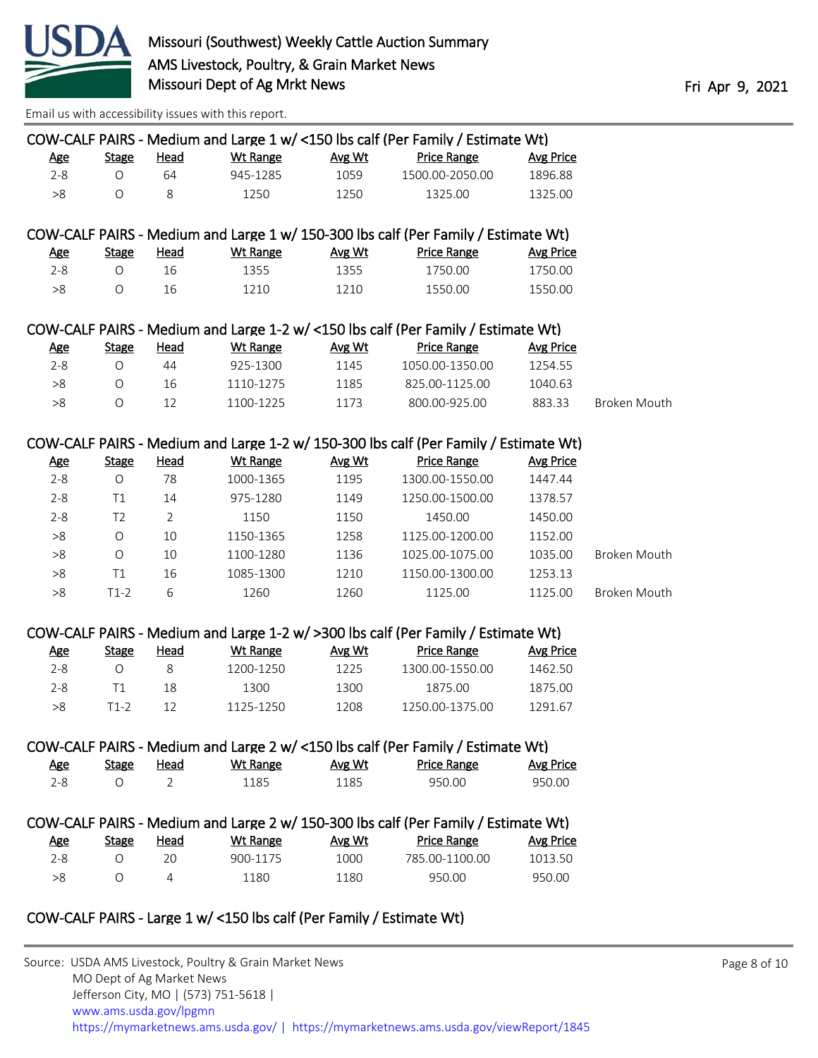

| COW-CALF PAIRS - Medium and Large 1 w/ <150 lbs calf (Per Family / Estimate Wt) |              |      |          |        |                    |           |  |  |  |
|---------------------------------------------------------------------------------|--------------|------|----------|--------|--------------------|-----------|--|--|--|
| Age                                                                             | <b>Stage</b> | Head | Wt Range | Avg Wt | <b>Price Range</b> | Avg Price |  |  |  |
| 2-8                                                                             |              | 64.  | 945-1285 | 1059   | 1500 00-2050 00    | 1896.88   |  |  |  |
| >8                                                                              |              |      | 1250.    | 1250   | 1325.00            | 1325.00   |  |  |  |

### COW-CALF PAIRS - Medium and Large 1 w/ 150-300 lbs calf (Per Family / Estimate Wt)

| <u>Age</u> | <b>Stage</b> | <u>Head</u> | Wt Range | Avg Wt | <b>Price Range</b> | Avg Price |
|------------|--------------|-------------|----------|--------|--------------------|-----------|
| $2 - 8$    |              |             | 1355     | 1355   | 1750.00            | 1750.00   |
| >8         |              |             | 1210     | 1210   | 1550.00            | 1550.00   |

### COW-CALF PAIRS - Medium and Large 1-2 w/ <150 lbs calf (Per Family / Estimate Wt)

| <u>Age</u> | <b>Stage</b> | Head | Wt Range  | Avg Wt | <b>Price Range</b> | Avg Price |              |
|------------|--------------|------|-----------|--------|--------------------|-----------|--------------|
| $2 - 8$    |              | 44   | 925-1300  | 1145   | 1050.00-1350.00    | 1254.55   |              |
| >8         |              | 16   | 1110-1275 | 1185   | 825.00-1125.00     | 1040.63   |              |
| >8         |              |      | 1100-1225 | 1173   | 800.00-925.00      | 883.33    | Broken Mouth |

#### COW-CALF PAIRS - Medium and Large 1-2 w/ 150-300 lbs calf (Per Family / Estimate Wt)

| <u>Age</u> | <b>Stage</b> | <b>Head</b> | Wt Range  | Avg Wt | <b>Price Range</b> | Avg Price |              |
|------------|--------------|-------------|-----------|--------|--------------------|-----------|--------------|
| $2 - 8$    | Ο            | 78          | 1000-1365 | 1195   | 1300.00-1550.00    | 1447.44   |              |
| $2 - 8$    | Τ1           | 14          | 975-1280  | 1149   | 1250.00-1500.00    | 1378.57   |              |
| $2 - 8$    | T2           |             | 1150      | 1150   | 1450.00            | 1450.00   |              |
| >8         | Ω            | 10          | 1150-1365 | 1258   | 1125.00-1200.00    | 1152.00   |              |
| >8         | Ω            | 10          | 1100-1280 | 1136   | 1025.00-1075.00    | 1035.00   | Broken Mouth |
| >8         | Τ1           | 16          | 1085-1300 | 1210   | 1150.00-1300.00    | 1253.13   |              |
| >8         | $T1-2$       | 6           | 1260      | 1260   | 1125.00            | 1125.00   | Broken Mouth |

#### COW-CALF PAIRS - Medium and Large 1-2 w/ >300 lbs calf (Per Family / Estimate Wt)

| <u>Age</u> | Stage | Head | Wt Range  | Avg Wt | <b>Price Range</b> | Avg Price |
|------------|-------|------|-----------|--------|--------------------|-----------|
| $2 - 8$    |       |      | 1200-1250 | 1225   | 1300.00-1550.00    | 1462.50   |
| $2 - 8$    |       | 18   | 1300      | 1300   | 1875.00            | 1875.00   |
| >8         | T1-2  | 17   | 1125-1250 | 1208   | 1250.00-1375.00    | 1291.67   |

#### COW-CALF PAIRS - Medium and Large 2 w/ <150 lbs calf (Per Family / Estimate Wt)

| <u>Age</u> | <b>Stage</b> | Head | Wt Range | Avg Wt | <b>Price Range</b> | Avg Price |
|------------|--------------|------|----------|--------|--------------------|-----------|
|            |              |      | ็ 185    | ⊥185   | 950.00             | 950.00    |

|         |       |      |          |        | COW-CALF PAIRS - Medium and Large 2 w/ 150-300 lbs calf (Per Family / Estimate Wt) |           |
|---------|-------|------|----------|--------|------------------------------------------------------------------------------------|-----------|
| Age     | Stage | Head | Wt Range | Avg Wt | <b>Price Range</b>                                                                 | Avg Price |
| $2 - 8$ |       | 20.  | 900-1175 | 1000   | 785.00-1100.00                                                                     | 1013.50   |
| > 8     |       |      | 1180     | 1180   | 950.00                                                                             | 950.00    |

# COW-CALF PAIRS - Large 1 w/ <150 lbs calf (Per Family / Estimate Wt)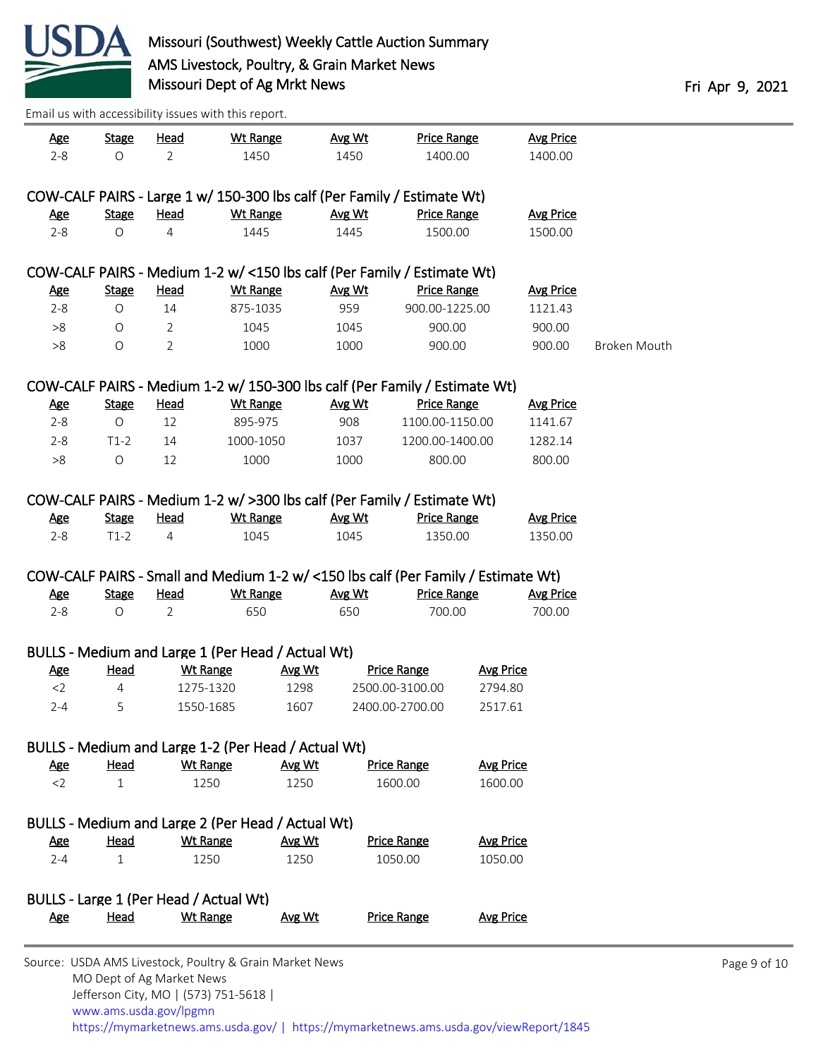

| <u>Age</u>                                                               | <b>Stage</b>                | <u>Head</u>    | <b>Wt Range</b>                                     |                       | Avg Wt | <b>Price Range</b>                                                                |                             | <b>Avg Price</b> |              |  |  |
|--------------------------------------------------------------------------|-----------------------------|----------------|-----------------------------------------------------|-----------------------|--------|-----------------------------------------------------------------------------------|-----------------------------|------------------|--------------|--|--|
| $2 - 8$                                                                  | $\circ$                     | $\overline{2}$ | 1450                                                |                       | 1450   | 1400.00                                                                           |                             | 1400.00          |              |  |  |
|                                                                          |                             |                |                                                     |                       |        | COW-CALF PAIRS - Large 1 w/ 150-300 lbs calf (Per Family / Estimate Wt)           |                             |                  |              |  |  |
| <u>Age</u>                                                               | <b>Stage</b>                | <u>Head</u>    | <b>Wt Range</b>                                     |                       | Avg Wt | <b>Price Range</b>                                                                |                             | <b>Avg Price</b> |              |  |  |
| $2 - 8$                                                                  | $\bigcirc$                  | 4              | 1445                                                |                       | 1445   | 1500.00                                                                           |                             | 1500.00          |              |  |  |
|                                                                          |                             |                |                                                     |                       |        |                                                                                   |                             |                  |              |  |  |
| COW-CALF PAIRS - Medium 1-2 w/ <150 lbs calf (Per Family / Estimate Wt)  |                             |                |                                                     |                       |        |                                                                                   |                             |                  |              |  |  |
| <b>Age</b>                                                               | <b>Stage</b>                | <b>Head</b>    | <b>Wt Range</b>                                     |                       | Avg Wt | <b>Price Range</b>                                                                |                             | <b>Avg Price</b> |              |  |  |
| $2 - 8$                                                                  | $\bigcirc$                  | 14             | 875-1035                                            |                       | 959    | 900.00-1225.00                                                                    |                             | 1121.43          |              |  |  |
| >8                                                                       | $\bigcirc$                  | $\overline{2}$ | 1045                                                |                       | 1045   | 900.00                                                                            |                             | 900.00           |              |  |  |
| >8                                                                       | $\bigcirc$                  | $\overline{2}$ | 1000                                                |                       | 1000   | 900.00                                                                            |                             | 900.00           | Broken Mouth |  |  |
|                                                                          |                             |                |                                                     |                       |        |                                                                                   |                             |                  |              |  |  |
|                                                                          |                             |                |                                                     |                       |        | COW-CALF PAIRS - Medium 1-2 w/ 150-300 lbs calf (Per Family / Estimate Wt)        |                             |                  |              |  |  |
| <u>Age</u>                                                               | <b>Stage</b>                | <b>Head</b>    | Wt Range                                            |                       | Avg Wt | <b>Price Range</b>                                                                |                             | <b>Avg Price</b> |              |  |  |
| $2 - 8$                                                                  | $\circ$                     | 12             | 895-975                                             |                       | 908    | 1100.00-1150.00                                                                   |                             | 1141.67          |              |  |  |
| $2 - 8$                                                                  | $T1-2$                      | 14             | 1000-1050                                           |                       | 1037   | 1200.00-1400.00                                                                   |                             | 1282.14          |              |  |  |
| >8                                                                       | $\bigcirc$                  | 12             | 1000                                                |                       | 1000   | 800.00                                                                            |                             | 800.00           |              |  |  |
| COW-CALF PAIRS - Medium 1-2 w/ > 300 lbs calf (Per Family / Estimate Wt) |                             |                |                                                     |                       |        |                                                                                   |                             |                  |              |  |  |
| <u>Age</u>                                                               | <b>Stage</b>                | <b>Head</b>    | <b>Wt Range</b>                                     |                       | Avg Wt | <b>Price Range</b>                                                                |                             | <b>Avg Price</b> |              |  |  |
| $2 - 8$                                                                  | $T1-2$                      | 4              | 1045                                                |                       | 1045   | 1350.00                                                                           |                             | 1350.00          |              |  |  |
|                                                                          |                             |                |                                                     |                       |        |                                                                                   |                             |                  |              |  |  |
|                                                                          |                             |                |                                                     |                       |        | COW-CALF PAIRS - Small and Medium 1-2 w/ <150 lbs calf (Per Family / Estimate Wt) |                             |                  |              |  |  |
| <u>Age</u>                                                               | <b>Stage</b>                | <u>Head</u>    | <b>Wt Range</b>                                     |                       | Avg Wt | <b>Price Range</b>                                                                |                             | <b>Avg Price</b> |              |  |  |
| $2 - 8$                                                                  | $\bigcirc$                  | 2              | 650                                                 |                       | 650    | 700.00                                                                            |                             | 700.00           |              |  |  |
|                                                                          |                             |                |                                                     |                       |        |                                                                                   |                             |                  |              |  |  |
|                                                                          |                             |                | BULLS - Medium and Large 1 (Per Head / Actual Wt)   |                       |        |                                                                                   |                             |                  |              |  |  |
| <b>Age</b>                                                               | <b>Head</b>                 |                | <b>Wt Range</b>                                     | Avg Wt                |        | <b>Price Range</b>                                                                | <b>Avg Price</b>            |                  |              |  |  |
| $<$ 2                                                                    | 4                           |                | 1275-1320                                           | 1298                  |        | 2500.00-3100.00                                                                   | 2794.80                     |                  |              |  |  |
| $2 - 4$                                                                  | 5                           |                | 1550-1685                                           | 1607                  |        | 2400.00-2700.00                                                                   | 2517.61                     |                  |              |  |  |
|                                                                          |                             |                |                                                     |                       |        |                                                                                   |                             |                  |              |  |  |
|                                                                          |                             |                | BULLS - Medium and Large 1-2 (Per Head / Actual Wt) |                       |        |                                                                                   |                             |                  |              |  |  |
| <u>Age</u><br>$<$ 2                                                      | <u>Head</u><br>$\mathbf{1}$ |                | <b>Wt Range</b>                                     | <u>Avg Wt</u><br>1250 |        | <b>Price Range</b><br>1600.00                                                     | <b>Avg Price</b><br>1600.00 |                  |              |  |  |
|                                                                          |                             |                | 1250                                                |                       |        |                                                                                   |                             |                  |              |  |  |
|                                                                          |                             |                | BULLS - Medium and Large 2 (Per Head / Actual Wt)   |                       |        |                                                                                   |                             |                  |              |  |  |
| <u>Age</u>                                                               | Head                        |                | Wt Range                                            | Avg Wt                |        | <b>Price Range</b>                                                                | <b>Avg Price</b>            |                  |              |  |  |
| $2 - 4$                                                                  | $\mathbf{1}$                |                | 1250                                                | 1250                  |        | 1050.00                                                                           | 1050.00                     |                  |              |  |  |
|                                                                          |                             |                |                                                     |                       |        |                                                                                   |                             |                  |              |  |  |
|                                                                          |                             |                | BULLS - Large 1 (Per Head / Actual Wt)              |                       |        |                                                                                   |                             |                  |              |  |  |
| <u>Age</u>                                                               | <u>Head</u>                 |                | <b>Wt Range</b>                                     | Avg Wt                |        | <b>Price Range</b>                                                                | <b>Avg Price</b>            |                  |              |  |  |
|                                                                          |                             |                |                                                     |                       |        |                                                                                   |                             |                  |              |  |  |